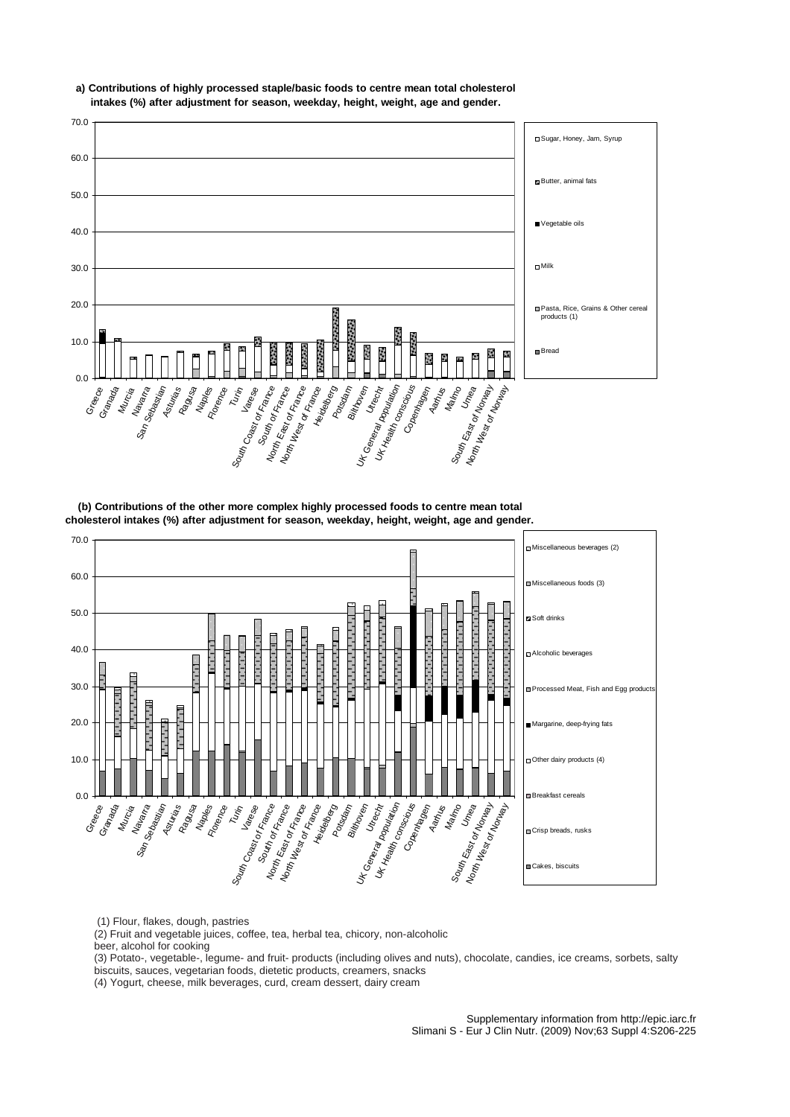

**a) Contributions of highly processed staple/basic foods to centre mean total cholesterol intakes (%) after adjustment for season, weekday, height, weight, age and gender.**

**(b) Contributions of the other more complex highly processed foods to centre mean total cholesterol intakes (%) after adjustment for season, weekday, height, weight, age and gender.**



(1) Flour, flakes, dough, pastries

(2) Fruit and vegetable juices, coffee, tea, herbal tea, chicory, non-alcoholic

beer, alcohol for cooking

(3) Potato-, vegetable-, legume- and fruit- products (including olives and nuts), chocolate, candies, ice creams, sorbets, salty biscuits, sauces, vegetarian foods, dietetic products, creamers, snacks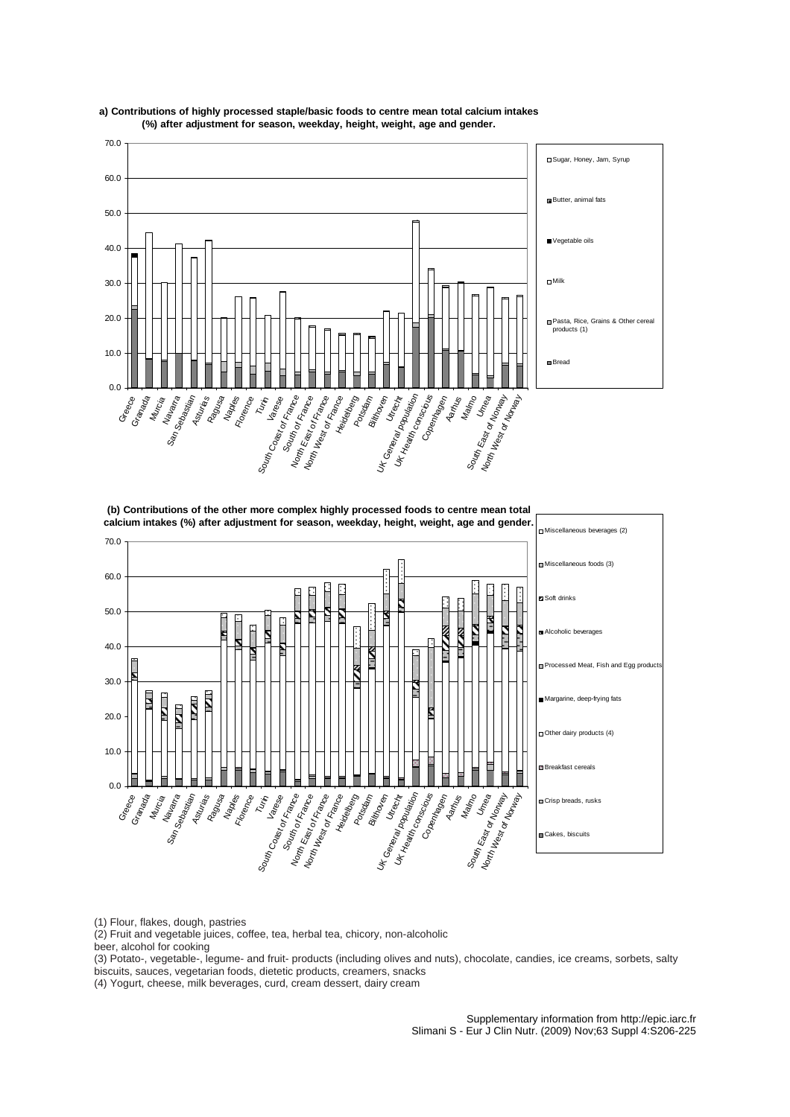

# **a ) Contributions of highly processed staple/basic foods to centre mean total calcium intakes (%) after adjustment for season, weekday, height, weight, age and gender.**

**(b) Contributions of the other more complex highly processed foods to centre mean total calcium intakes (%) after adjustment for season, weekday, height, weight, age and gender.**



(1) Flour, flakes, dough, pastries

(2) Fruit and vegetable juices, coffee, tea, herbal tea, chicory, non-alcoholic

beer, alcohol for cooking

(3) Potato-, vegetable-, legume- and fruit- products (including olives and nuts), chocolate, candies, ice creams, sorbets, salty biscuits, sauces, vegetarian foods, dietetic products, creamers, snacks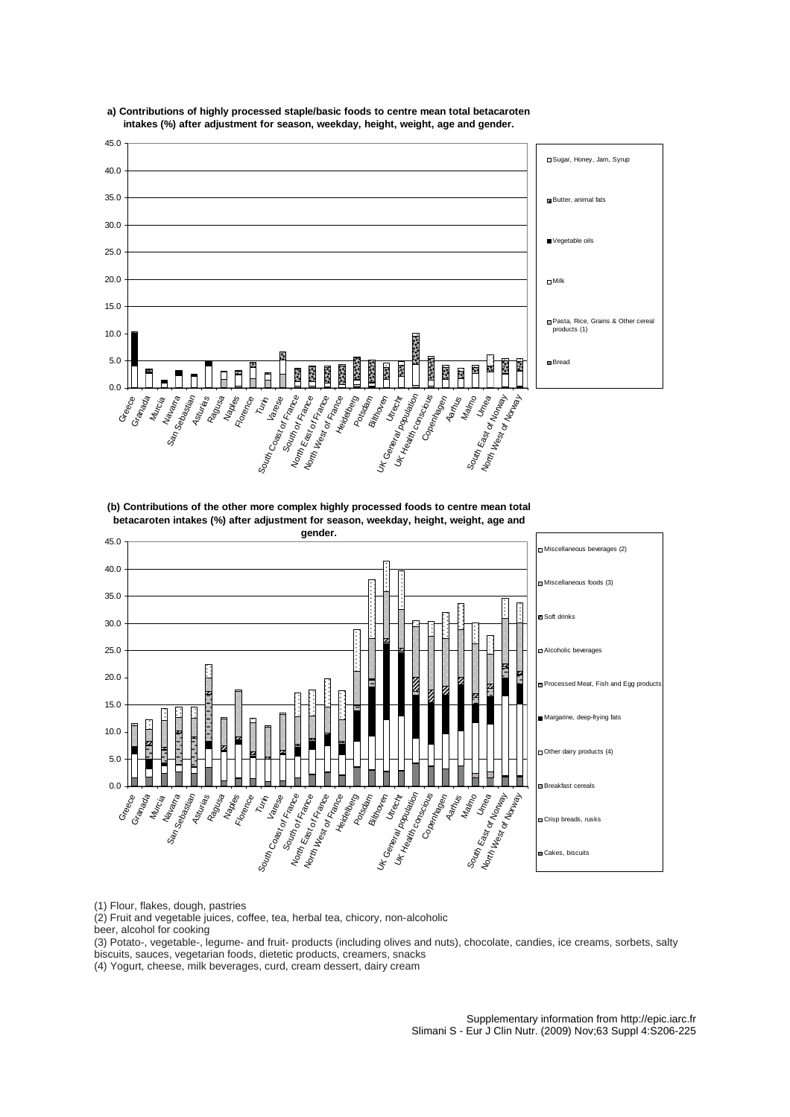

**a) Contributions of highly processed staple/basic foods to centre mean total betacaroten intakes (%) after adjustment for season, weekday, height, weight, age and gender.**

**(b) Contributions of the other more complex highly processed foods to centre mean total betacaroten intakes (%) after adjustment for season, weekday, height, weight, age and** 



(1) Flour, flakes, dough, pastries

(2) Fruit and vegetable juices, coffee, tea, herbal tea, chicory, non-alcoholic

beer, alcohol for cooking

(3) Potato-, vegetable-, legume- and fruit- products (including olives and nuts), chocolate, candies, ice creams, sorbets, salty biscuits, sauces, vegetarian foods, dietetic products, creamers, snacks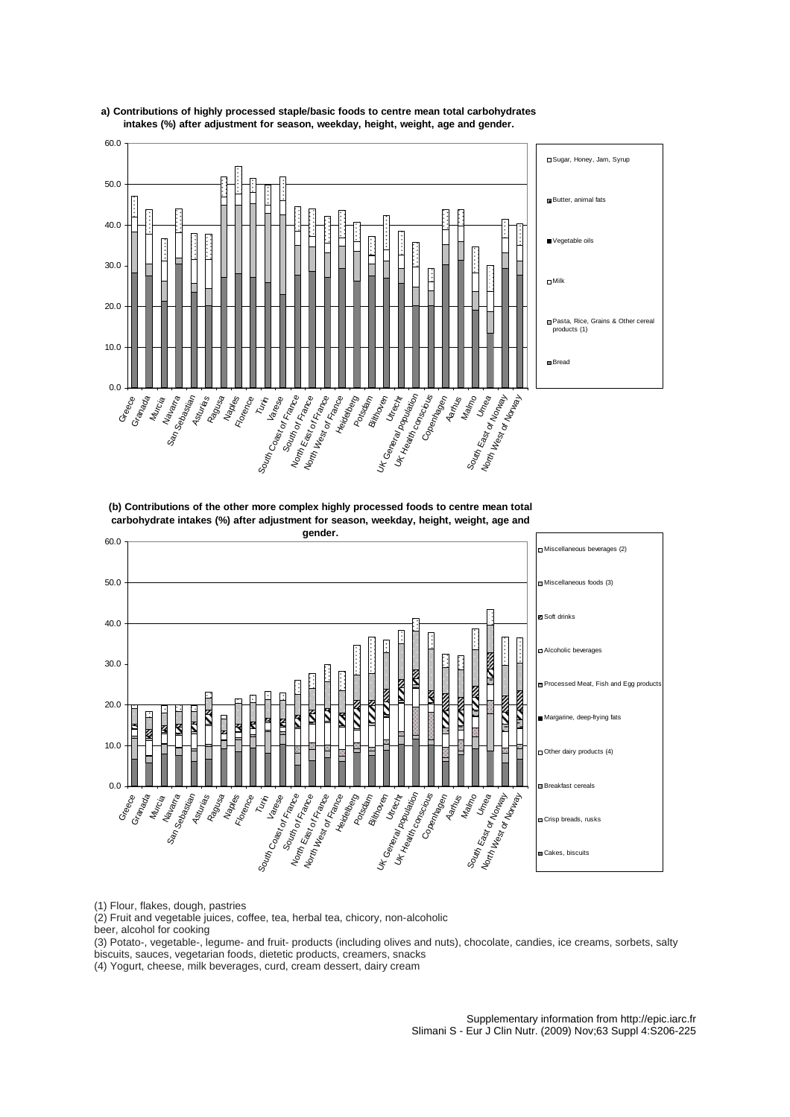

**a) Contributions of highly processed staple/basic foods to centre mean total carbohydrates intakes (%) after adjustment for season, weekday, height, weight, age and gender.**

**(b) Contributions of the other more complex highly processed foods to centre mean total carbohydrate intakes (%) after adjustment for season, weekday, height, weight, age and** 



(1) Flour, flakes, dough, pastries

(2) Fruit and vegetable juices, coffee, tea, herbal tea, chicory, non-alcoholic

beer, alcohol for cooking

(3) Potato-, vegetable-, legume- and fruit- products (including olives and nuts), chocolate, candies, ice creams, sorbets, salty biscuits, sauces, vegetarian foods, dietetic products, creamers, snacks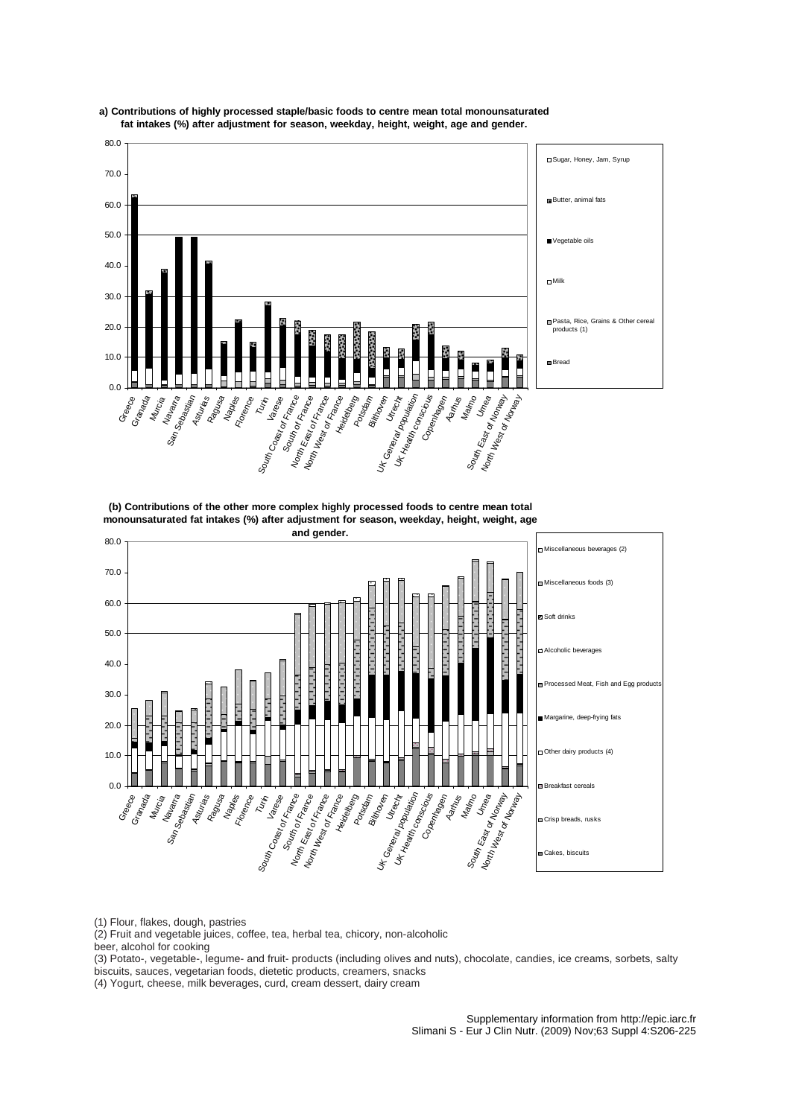

**a ) Contributions of highly processed staple/basic foods to centre mean total monounsaturated fat intakes (%) after adjustment for season, weekday, height, weight, age and gender.**

**(b) Contributions of the other more complex highly processed foods to centre mean total monounsaturated fat intakes (%) after adjustment for season, weekday, height, weight, age** 



(1) Flour, flakes, dough, pastries

(2) Fruit and vegetable juices, coffee, tea, herbal tea, chicory, non-alcoholic

beer, alcohol for cooking

(3) Potato-, vegetable-, legume- and fruit- products (including olives and nuts), chocolate, candies, ice creams, sorbets, salty biscuits, sauces, vegetarian foods, dietetic products, creamers, snacks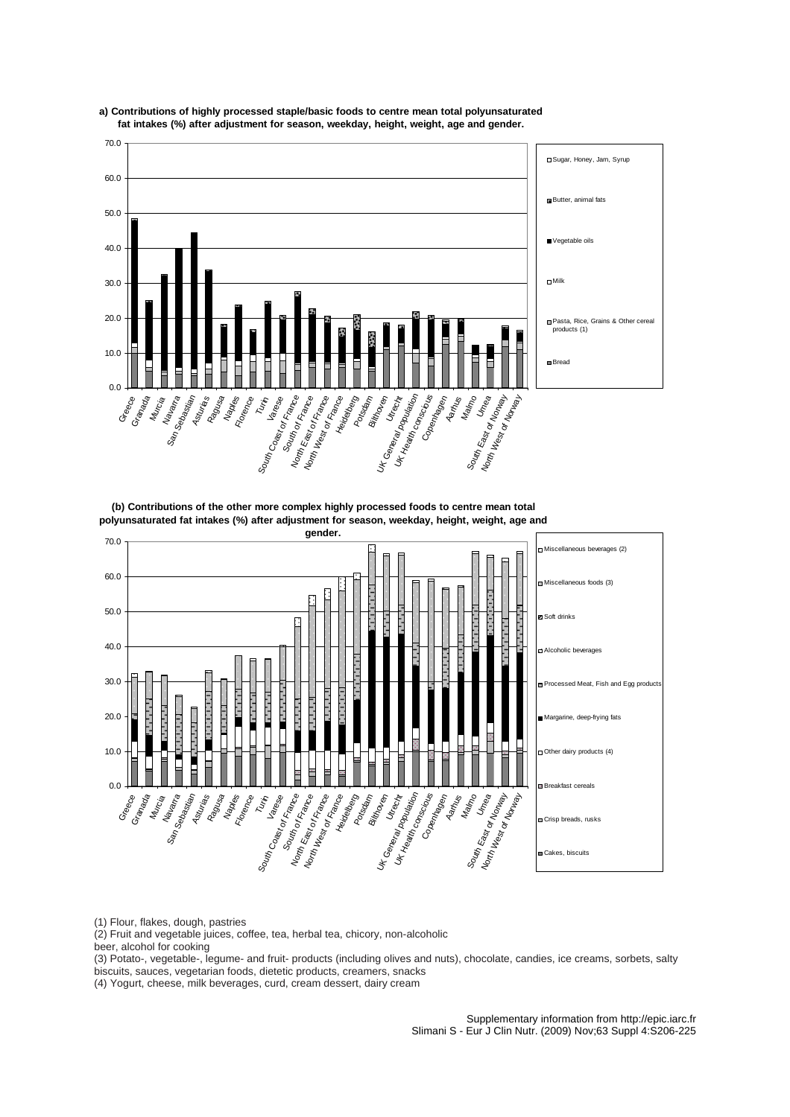

**a ) Contributions of highly processed staple/basic foods to centre mean total polyunsaturated fat intakes (%) after adjustment for season, weekday, height, weight, age and gender.**

**(b) Contributions of the other more complex highly processed foods to centre mean total olyunsaturated fat intakes (%) after adjustment for season, weekday, height, weight, age and p**



(1) Flour, flakes, dough, pastries

(2) Fruit and vegetable juices, coffee, tea, herbal tea, chicory, non-alcoholic

beer, alcohol for cooking

(3) Potato-, vegetable-, legume- and fruit- products (including olives and nuts), chocolate, candies, ice creams, sorbets, salty biscuits, sauces, vegetarian foods, dietetic products, creamers, snacks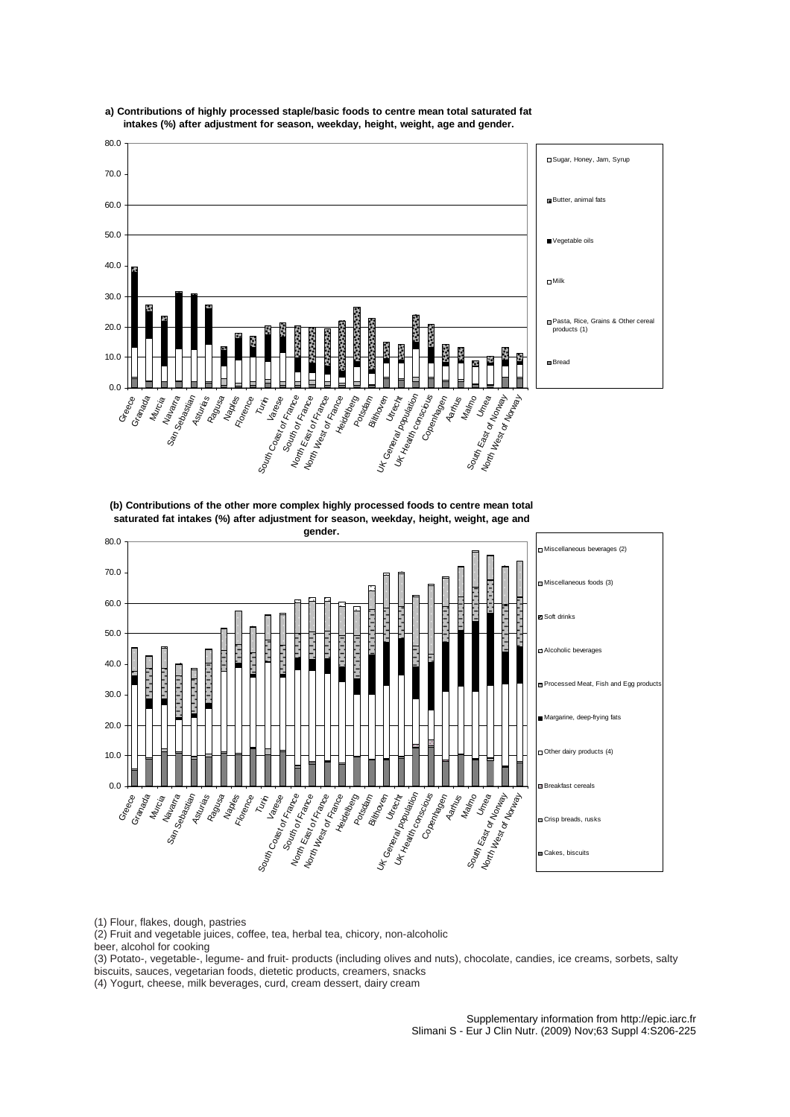

**a) Contributions of highly processed staple/basic foods to centre mean total saturated fat intakes (%) after adjustment for season, weekday, height, weight, age and gender.**

**(b) Contributions of the other more complex highly processed foods to centre mean total saturated fat intakes (%) after adjustment for season, weekday, height, weight, age and** 



(1) Flour, flakes, dough, pastries

(2) Fruit and vegetable juices, coffee, tea, herbal tea, chicory, non-alcoholic

beer, alcohol for cooking

(3) Potato-, vegetable-, legume- and fruit- products (including olives and nuts), chocolate, candies, ice creams, sorbets, salty biscuits, sauces, vegetarian foods, dietetic products, creamers, snacks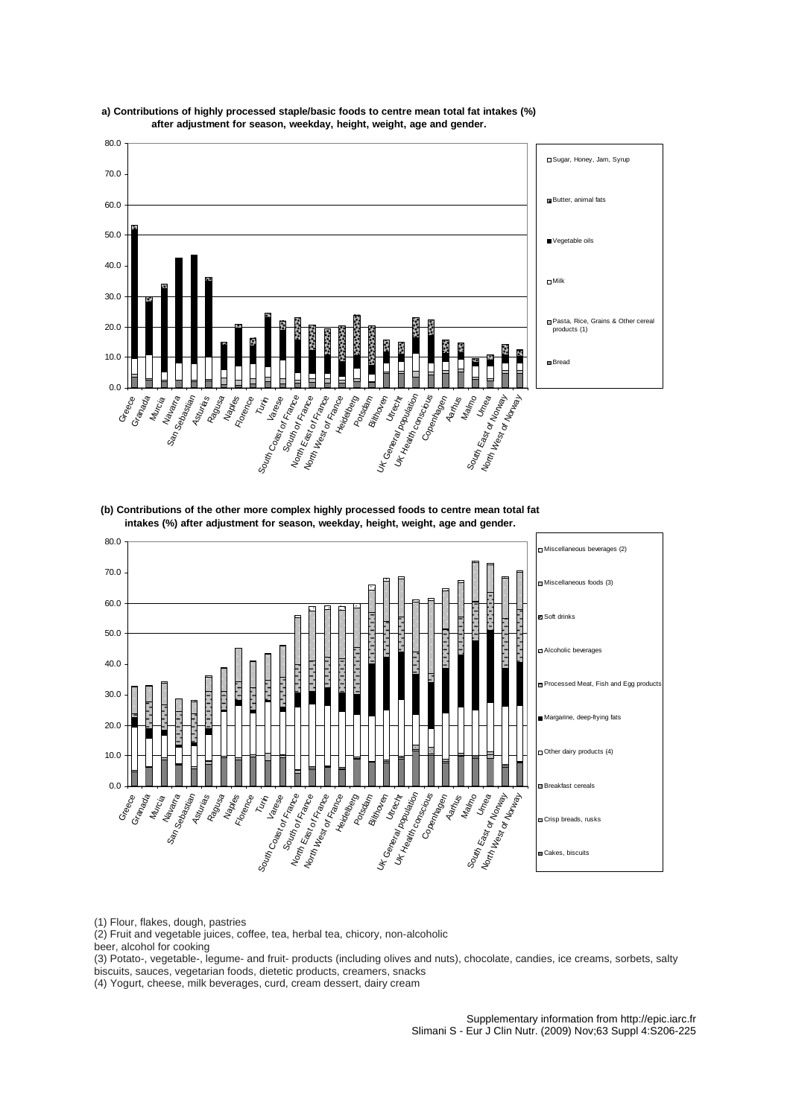

**a) Contributions of highly processed staple/basic foods to centre mean total fat intakes (%) after adjustment for season, weekday, height, weight, age and gender.**

**(b) Contributions of the other more complex highly processed foods to centre mean total fat intakes (%) after adjustment for season, weekday, height, weight, age and gender.**



(1) Flour, flakes, dough, pastries

(2) Fruit and vegetable juices, coffee, tea, herbal tea, chicory, non-alcoholic

beer, alcohol for cooking

(3) Potato-, vegetable-, legume- and fruit- products (including olives and nuts), chocolate, candies, ice creams, sorbets, salty biscuits, sauces, vegetarian foods, dietetic products, creamers, snacks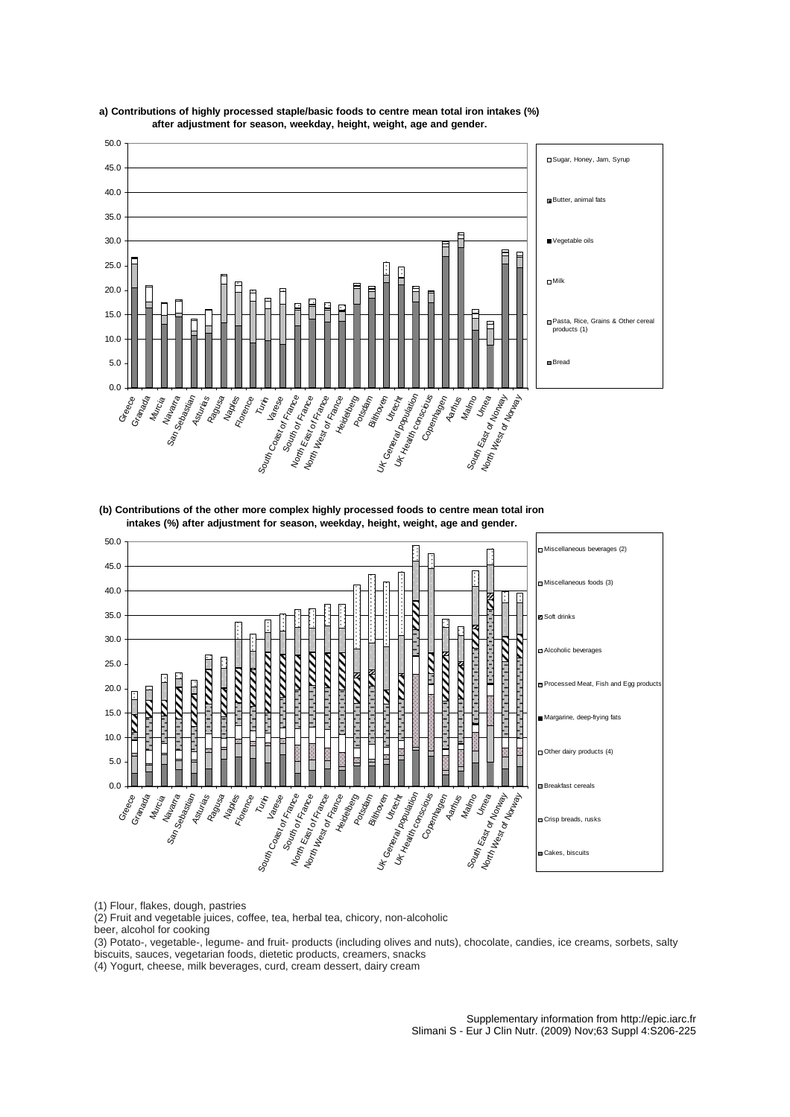

**a ) Contributions of highly processed staple/basic foods to centre mean total iron intakes (%) after adjustment for season, weekday, height, weight, age and gender.**

**(b) Contributions of the other more complex highly processed foods to centre mean total iron intakes (%) after adjustment for season, weekday, height, weight, age and gender.**



(1) Flour, flakes, dough, pastries

(2) Fruit and vegetable juices, coffee, tea, herbal tea, chicory, non-alcoholic

beer, alcohol for cooking

(3) Potato-, vegetable-, legume- and fruit- products (including olives and nuts), chocolate, candies, ice creams, sorbets, salty biscuits, sauces, vegetarian foods, dietetic products, creamers, snacks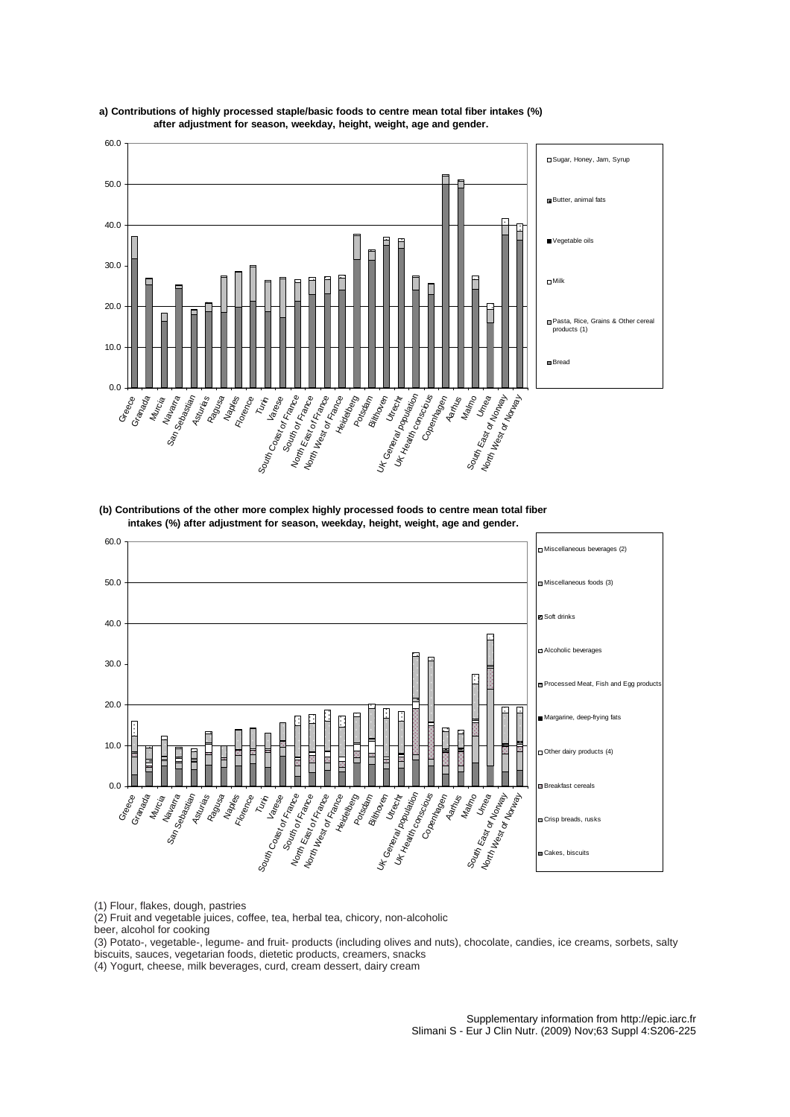

**a ) Contributions of highly processed staple/basic foods to centre mean total fiber intakes (%) after adjustment for season, weekday, height, weight, age and gender.**

**(b) Contributions of the other more complex highly processed foods to centre mean total fiber intakes (%) after adjustment for season, weekday, height, weight, age and gender.**



(1) Flour, flakes, dough, pastries

(2) Fruit and vegetable juices, coffee, tea, herbal tea, chicory, non-alcoholic

beer, alcohol for cooking

(3) Potato-, vegetable-, legume- and fruit- products (including olives and nuts), chocolate, candies, ice creams, sorbets, salty biscuits, sauces, vegetarian foods, dietetic products, creamers, snacks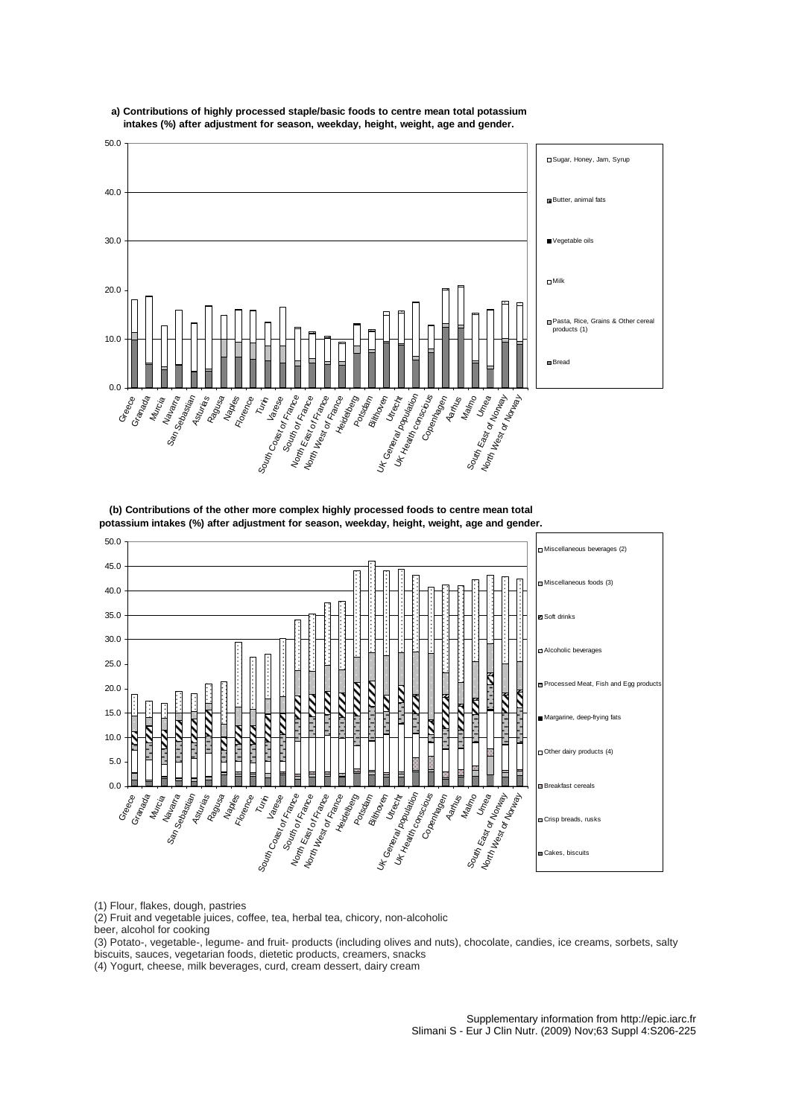

# **a) Contributions of highly processed staple/basic foods to centre mean total potassium intakes (%) after adjustment for season, weekday, height, weight, age and gender.**

**(b) Contributions of the other more complex highly processed foods to centre mean total potassium intakes (%) after adjustment for season, weekday, height, weight, age and gender.**



(1) Flour, flakes, dough, pastries

(2) Fruit and vegetable juices, coffee, tea, herbal tea, chicory, non-alcoholic

beer, alcohol for cooking

(3) Potato-, vegetable-, legume- and fruit- products (including olives and nuts), chocolate, candies, ice creams, sorbets, salty biscuits, sauces, vegetarian foods, dietetic products, creamers, snacks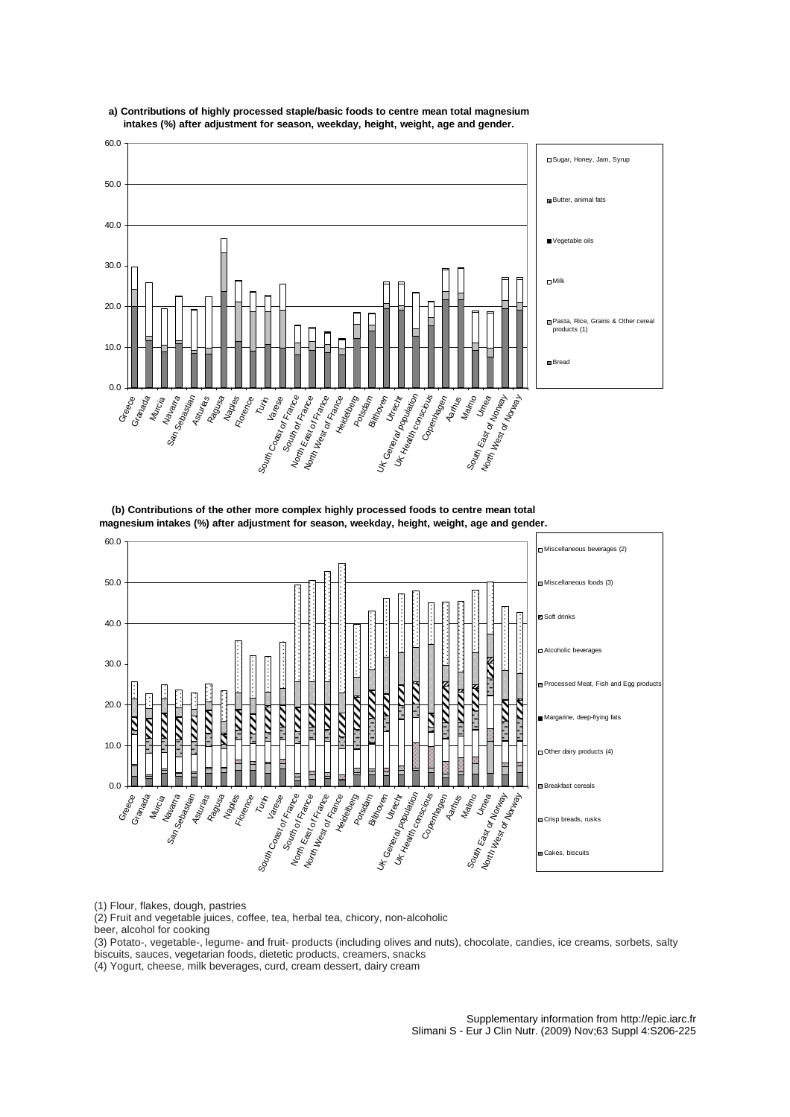

# **a) Contributions of highly processed staple/basic foods to centre mean total magnesium intakes (%) after adjustment for season, weekday, height, weight, age and gender.**

**(b) Contributions of the other more complex highly processed foods to centre mean total magnesium intakes (%) after adjustment for season, weekday, height, weight, age and gender.**



(1) Flour, flakes, dough, pastries

(2) Fruit and vegetable juices, coffee, tea, herbal tea, chicory, non-alcoholic

beer, alcohol for cooking

(3) Potato-, vegetable-, legume- and fruit- products (including olives and nuts), chocolate, candies, ice creams, sorbets, salty biscuits, sauces, vegetarian foods, dietetic products, creamers, snacks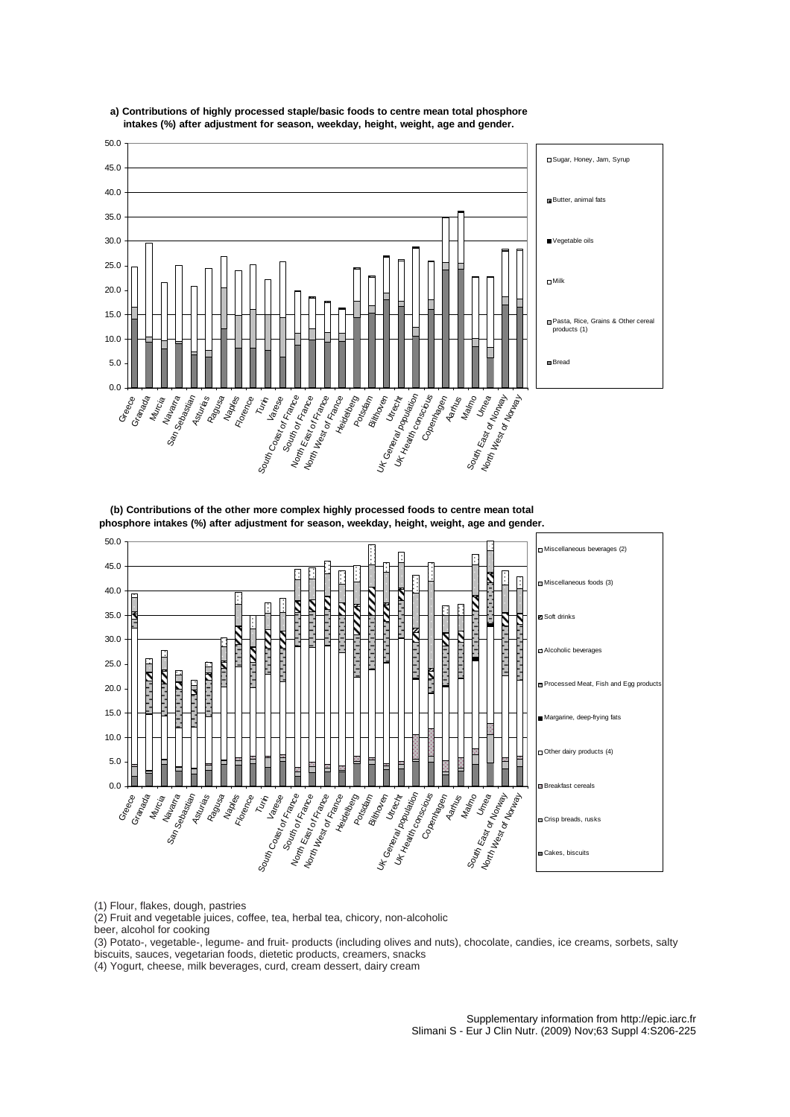



**(b) Contributions of the other more complex highly processed foods to centre mean total phosphore intakes (%) after adjustment for season, weekday, height, weight, age and gender.**



(1) Flour, flakes, dough, pastries

(2) Fruit and vegetable juices, coffee, tea, herbal tea, chicory, non-alcoholic

beer, alcohol for cooking

(3) Potato-, vegetable-, legume- and fruit- products (including olives and nuts), chocolate, candies, ice creams, sorbets, salty biscuits, sauces, vegetarian foods, dietetic products, creamers, snacks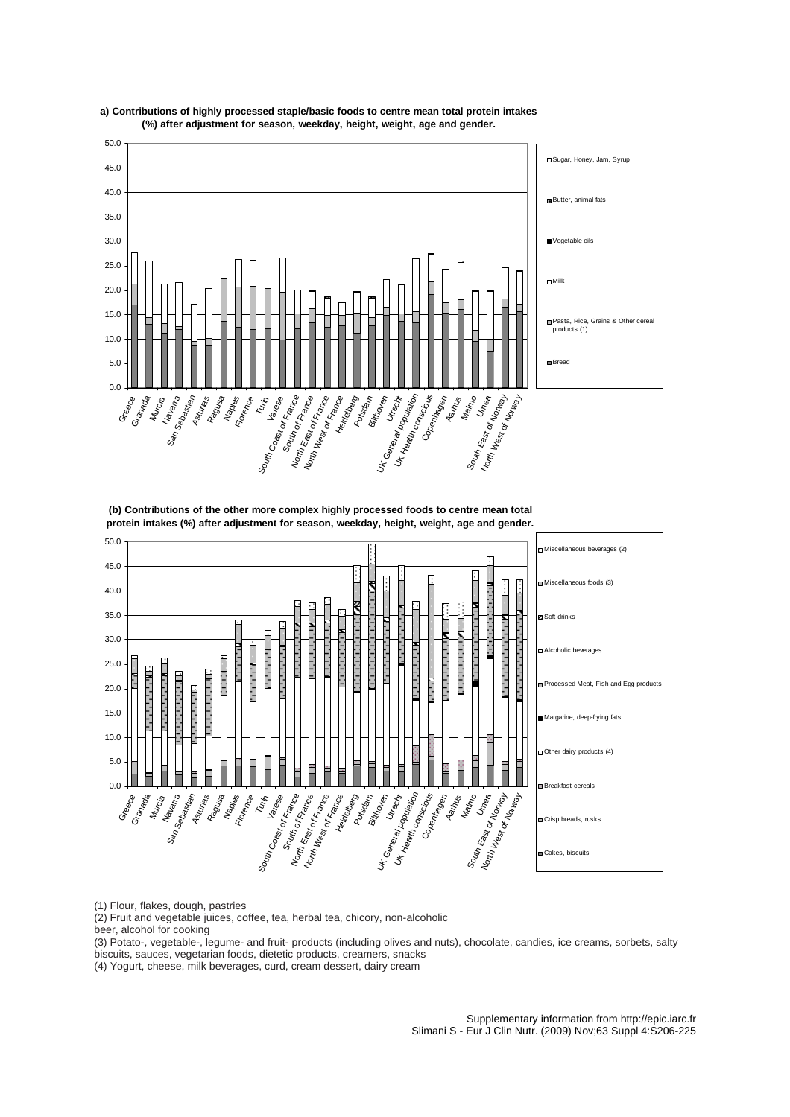

# **a) Contributions of highly processed staple/basic foods to centre mean total protein intakes (%) after adjustment for season, weekday, height, weight, age and gender.**

**(b) Contributions of the other more complex highly processed foods to centre mean total protein intakes (%) after adjustment for season, weekday, height, weight, age and gender.**



(1) Flour, flakes, dough, pastries

(2) Fruit and vegetable juices, coffee, tea, herbal tea, chicory, non-alcoholic

beer, alcohol for cooking

(3) Potato-, vegetable-, legume- and fruit- products (including olives and nuts), chocolate, candies, ice creams, sorbets, salty biscuits, sauces, vegetarian foods, dietetic products, creamers, snacks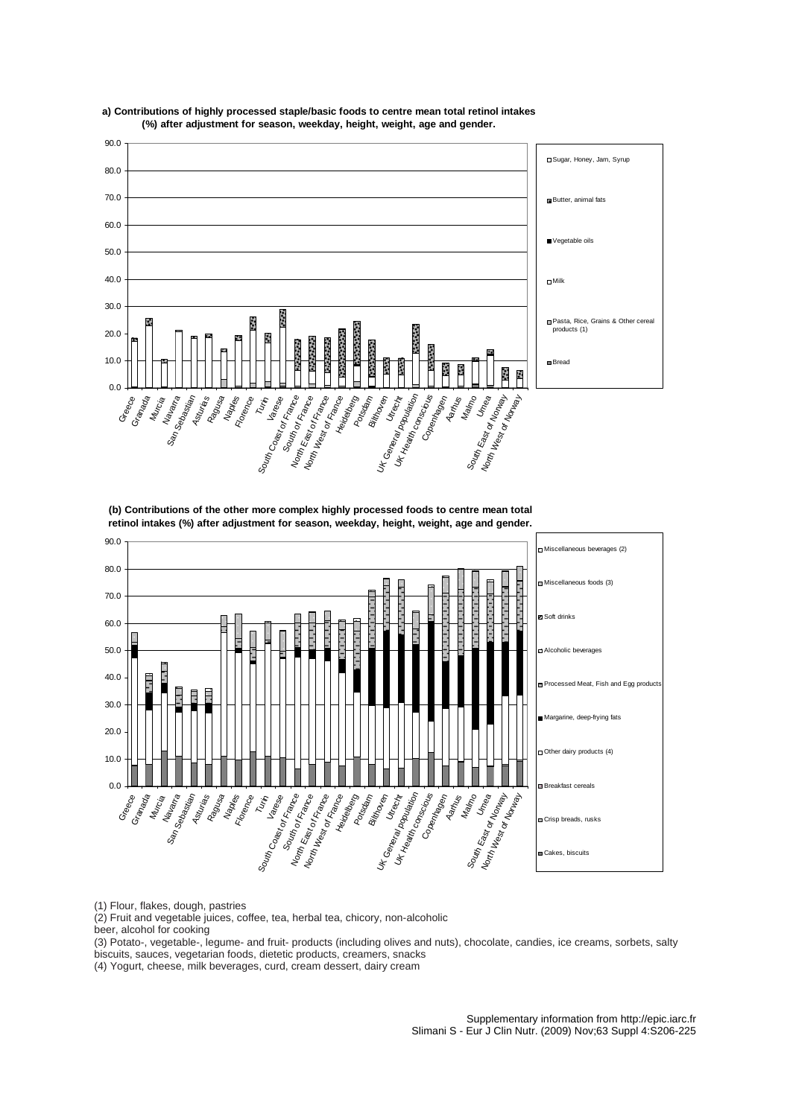



**(b) Contributions of the other more complex highly processed foods to centre mean total retinol intakes (%) after adjustment for season, weekday, height, weight, age and gender.**



(1) Flour, flakes, dough, pastries

(2) Fruit and vegetable juices, coffee, tea, herbal tea, chicory, non-alcoholic

beer, alcohol for cooking

(3) Potato-, vegetable-, legume- and fruit- products (including olives and nuts), chocolate, candies, ice creams, sorbets, salty biscuits, sauces, vegetarian foods, dietetic products, creamers, snacks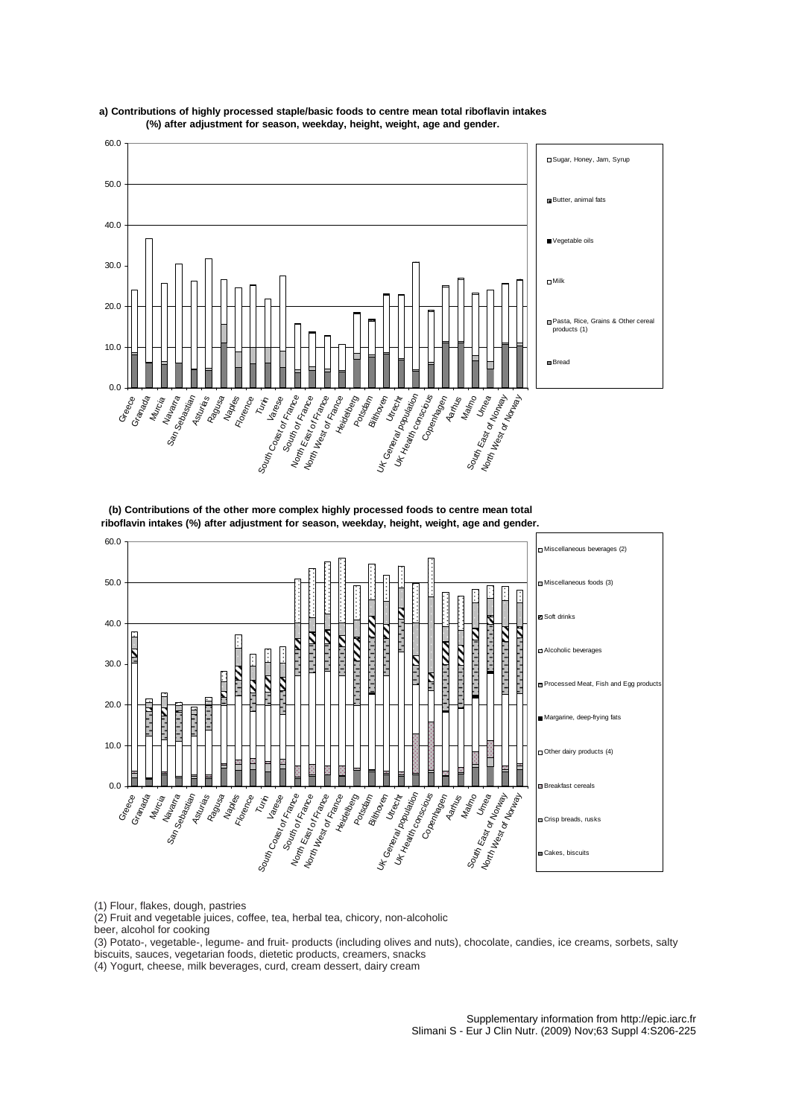



**(b) Contributions of the other more complex highly processed foods to centre mean total riboflavin intakes (%) after adjustment for season, weekday, height, weight, age and gender.**



(1) Flour, flakes, dough, pastries

(2) Fruit and vegetable juices, coffee, tea, herbal tea, chicory, non-alcoholic

beer, alcohol for cooking

(3) Potato-, vegetable-, legume- and fruit- products (including olives and nuts), chocolate, candies, ice creams, sorbets, salty biscuits, sauces, vegetarian foods, dietetic products, creamers, snacks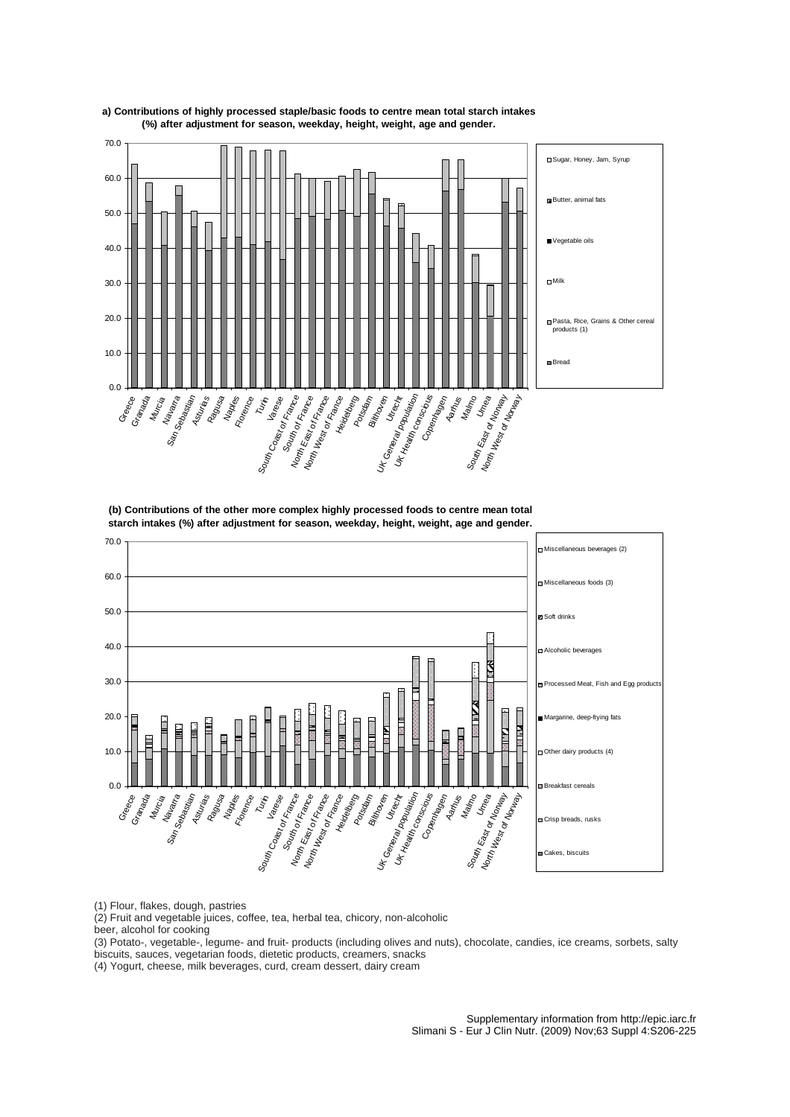

**a) Contributions of highly processed staple/basic foods to centre mean total starch intakes (%) after adjustment for season, weekday, height, weight, age and gender.**

**(b) Contributions of the other more complex highly processed foods to centre mean total starch intakes (%) after adjustment for season, weekday, height, weight, age and gender.**



(1) Flour, flakes, dough, pastries

(2) Fruit and vegetable juices, coffee, tea, herbal tea, chicory, non-alcoholic

beer, alcohol for cooking

(3) Potato-, vegetable-, legume- and fruit- products (including olives and nuts), chocolate, candies, ice creams, sorbets, salty biscuits, sauces, vegetarian foods, dietetic products, creamers, snacks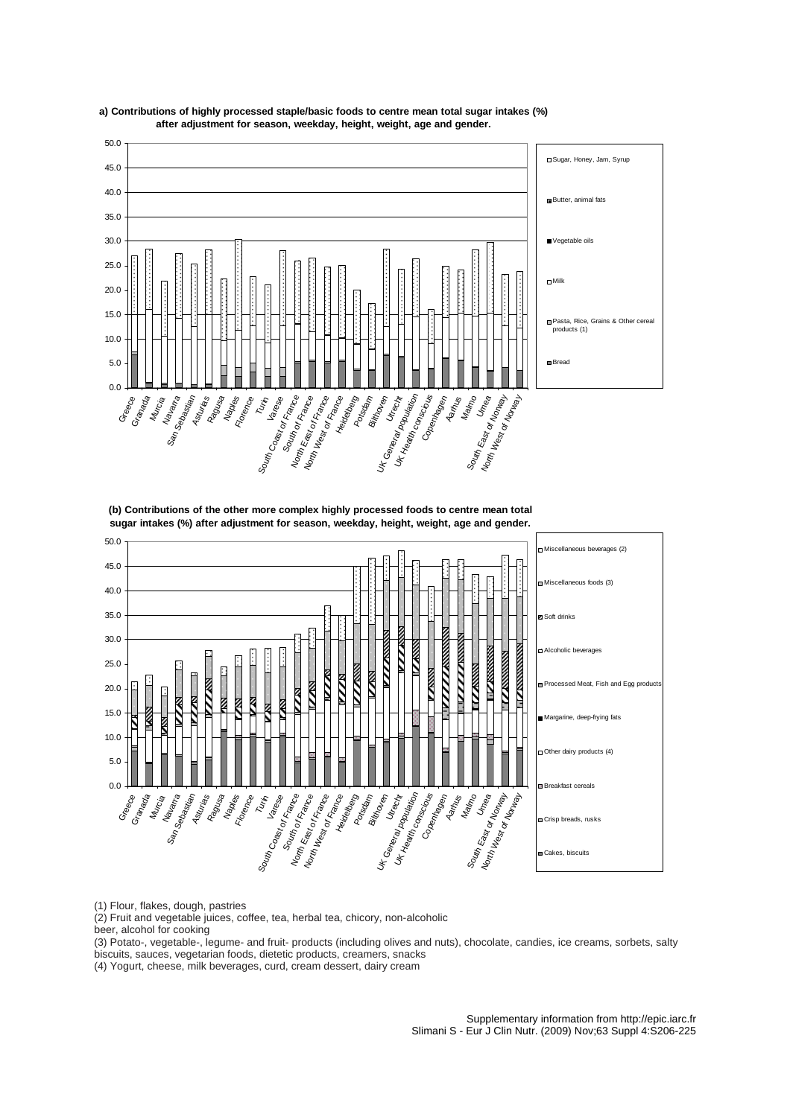

**a ) Contributions of highly processed staple/basic foods to centre mean total sugar intakes (%) after adjustment for season, weekday, height, weight, age and gender.**

**(b) Contributions of the other more complex highly processed foods to centre mean total sugar intakes (%) after adjustment for season, weekday, height, weight, age and gender.**



(1) Flour, flakes, dough, pastries

(2) Fruit and vegetable juices, coffee, tea, herbal tea, chicory, non-alcoholic

beer, alcohol for cooking

(3) Potato-, vegetable-, legume- and fruit- products (including olives and nuts), chocolate, candies, ice creams, sorbets, salty biscuits, sauces, vegetarian foods, dietetic products, creamers, snacks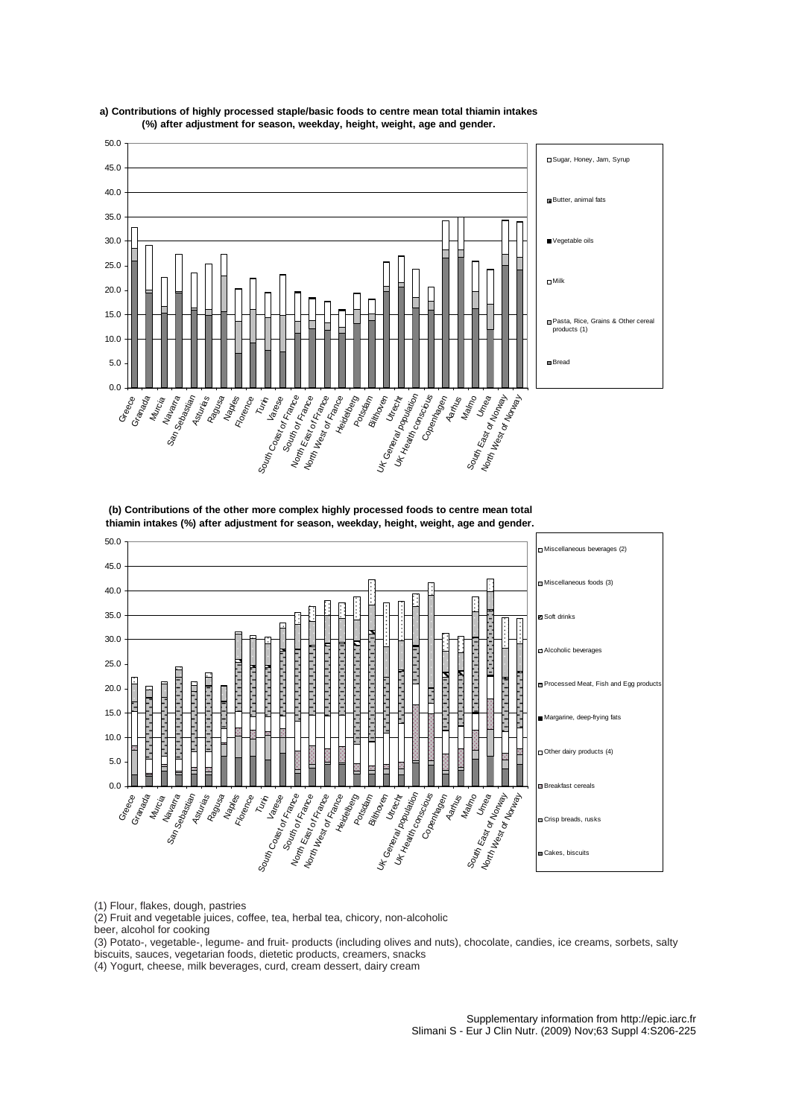

**a) Contributions of highly processed staple/basic foods to centre mean total thiamin intakes (%) after adjustment for season, weekday, height, weight, age and gender.**

**(b) Contributions of the other more complex highly processed foods to centre mean total thiamin intakes (%) after adjustment for season, weekday, height, weight, age and gender.**



(1) Flour, flakes, dough, pastries

(2) Fruit and vegetable juices, coffee, tea, herbal tea, chicory, non-alcoholic

beer, alcohol for cooking

(3) Potato-, vegetable-, legume- and fruit- products (including olives and nuts), chocolate, candies, ice creams, sorbets, salty biscuits, sauces, vegetarian foods, dietetic products, creamers, snacks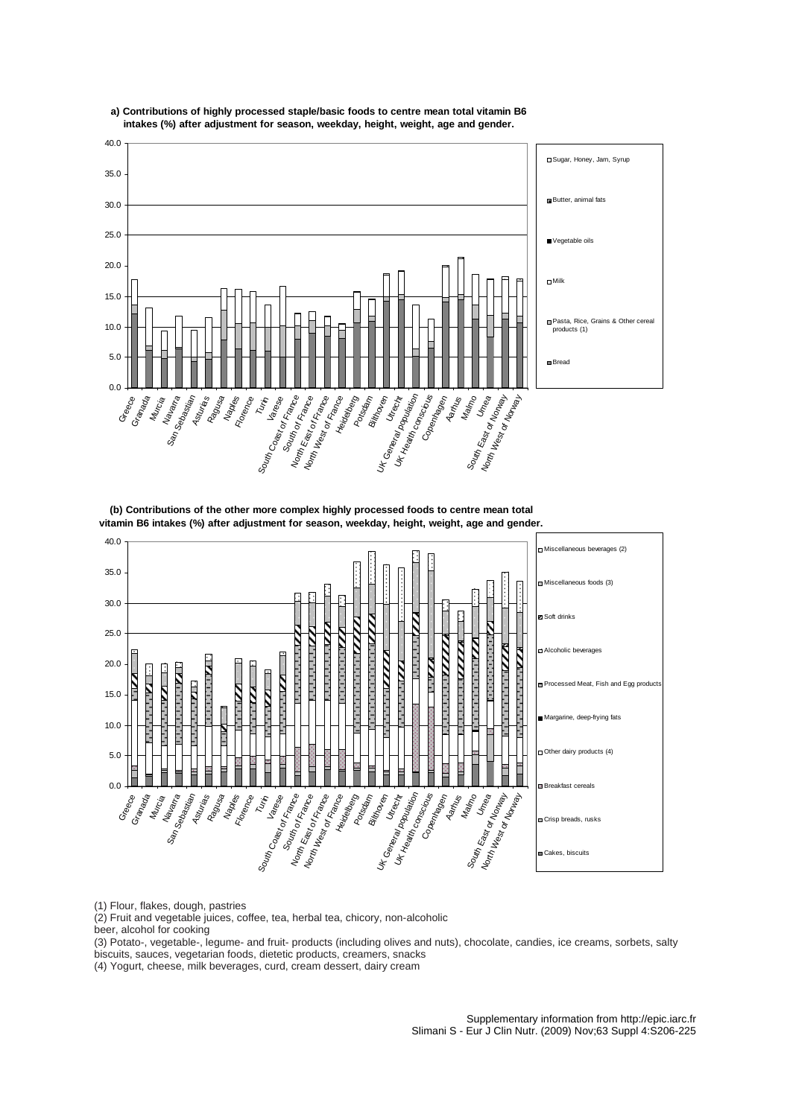

# **a) Contributions of highly processed staple/basic foods to centre mean total vitamin B6 intakes (%) after adjustment for season, weekday, height, weight, age and gender.**

**(b) Contributions of the other more complex highly processed foods to centre mean total vitamin B6 intakes (%) after adjustment for season, weekday, height, weight, age and gender.**



(1) Flour, flakes, dough, pastries

(2) Fruit and vegetable juices, coffee, tea, herbal tea, chicory, non-alcoholic

beer, alcohol for cooking

(3) Potato-, vegetable-, legume- and fruit- products (including olives and nuts), chocolate, candies, ice creams, sorbets, salty biscuits, sauces, vegetarian foods, dietetic products, creamers, snacks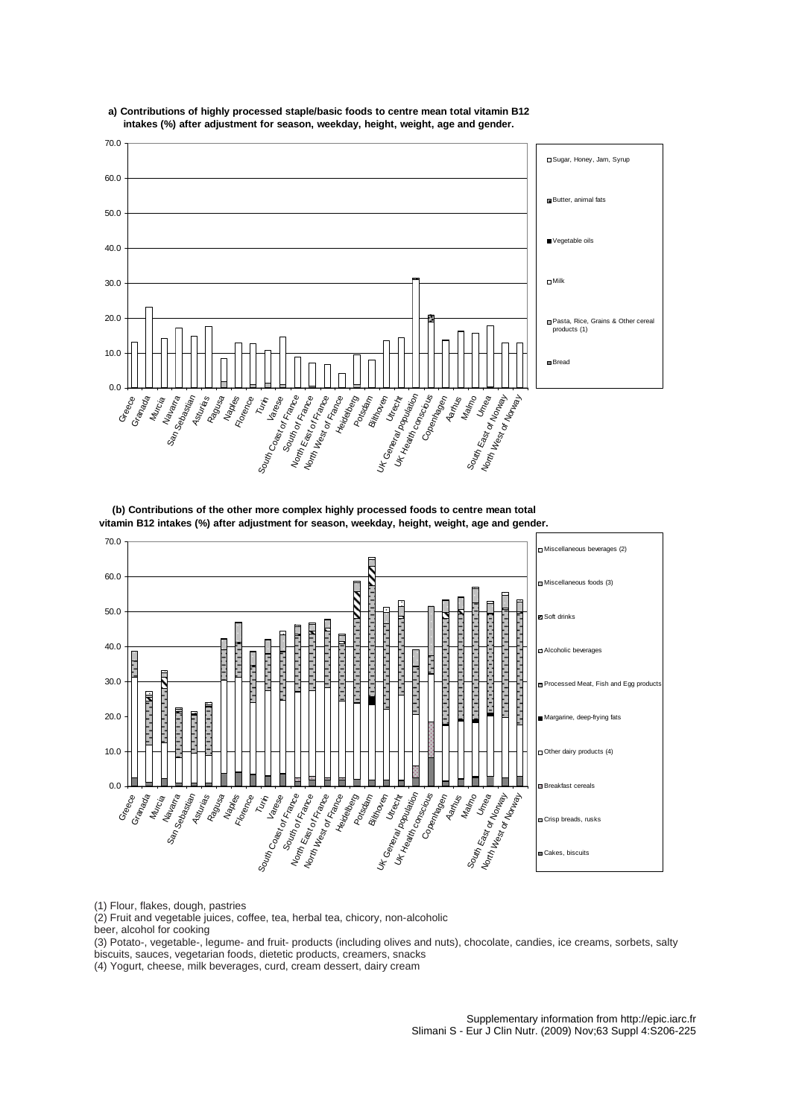

# **a) Contributions of highly processed staple/basic foods to centre mean total vitamin B12 intakes (%) after adjustment for season, weekday, height, weight, age and gender.**

**(b) Contributions of the other more complex highly processed foods to centre mean total vitamin B12 intakes (%) after adjustment for season, weekday, height, weight, age and gender.**



(1) Flour, flakes, dough, pastries

(2) Fruit and vegetable juices, coffee, tea, herbal tea, chicory, non-alcoholic

beer, alcohol for cooking

(3) Potato-, vegetable-, legume- and fruit- products (including olives and nuts), chocolate, candies, ice creams, sorbets, salty biscuits, sauces, vegetarian foods, dietetic products, creamers, snacks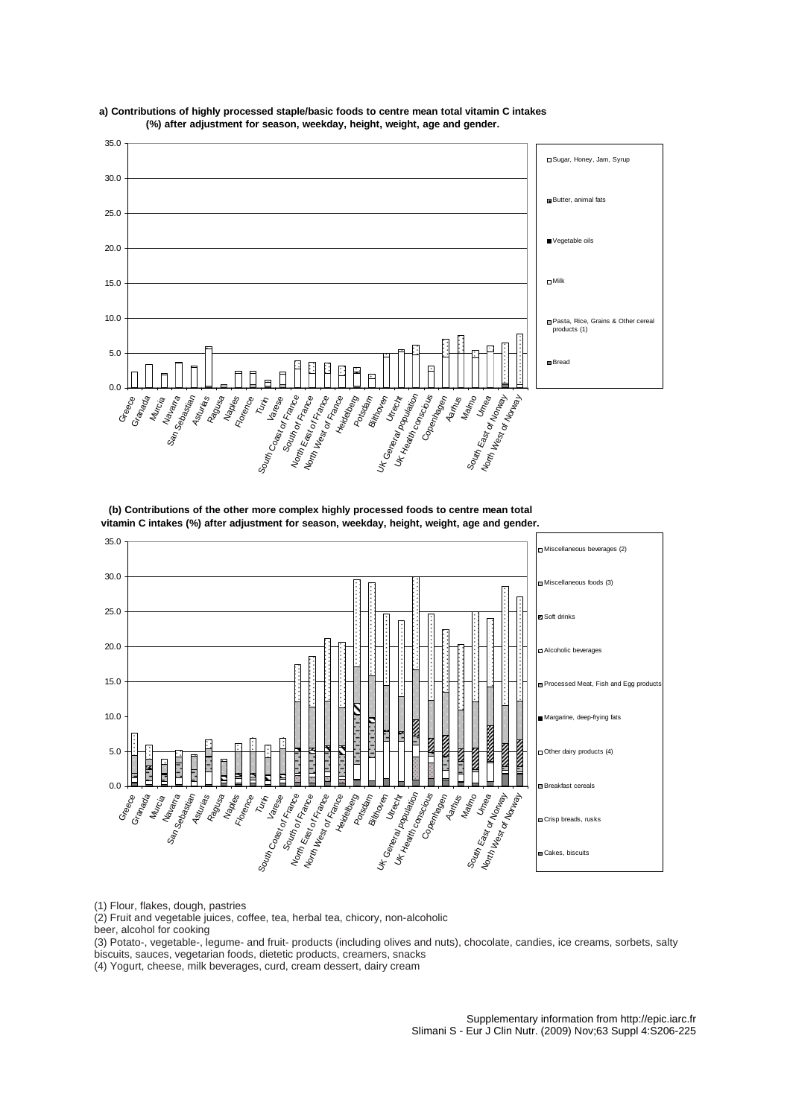

**a ) Contributions of highly processed staple/basic foods to centre mean total vitamin C intakes (%) after adjustment for season, weekday, height, weight, age and gender.**

**(b) Contributions of the other more complex highly processed foods to centre mean total vitamin C intakes (%) after adjustment for season, weekday, height, weight, age and gender.**



(1) Flour, flakes, dough, pastries

(2) Fruit and vegetable juices, coffee, tea, herbal tea, chicory, non-alcoholic

beer, alcohol for cooking

(3) Potato-, vegetable-, legume- and fruit- products (including olives and nuts), chocolate, candies, ice creams, sorbets, salty biscuits, sauces, vegetarian foods, dietetic products, creamers, snacks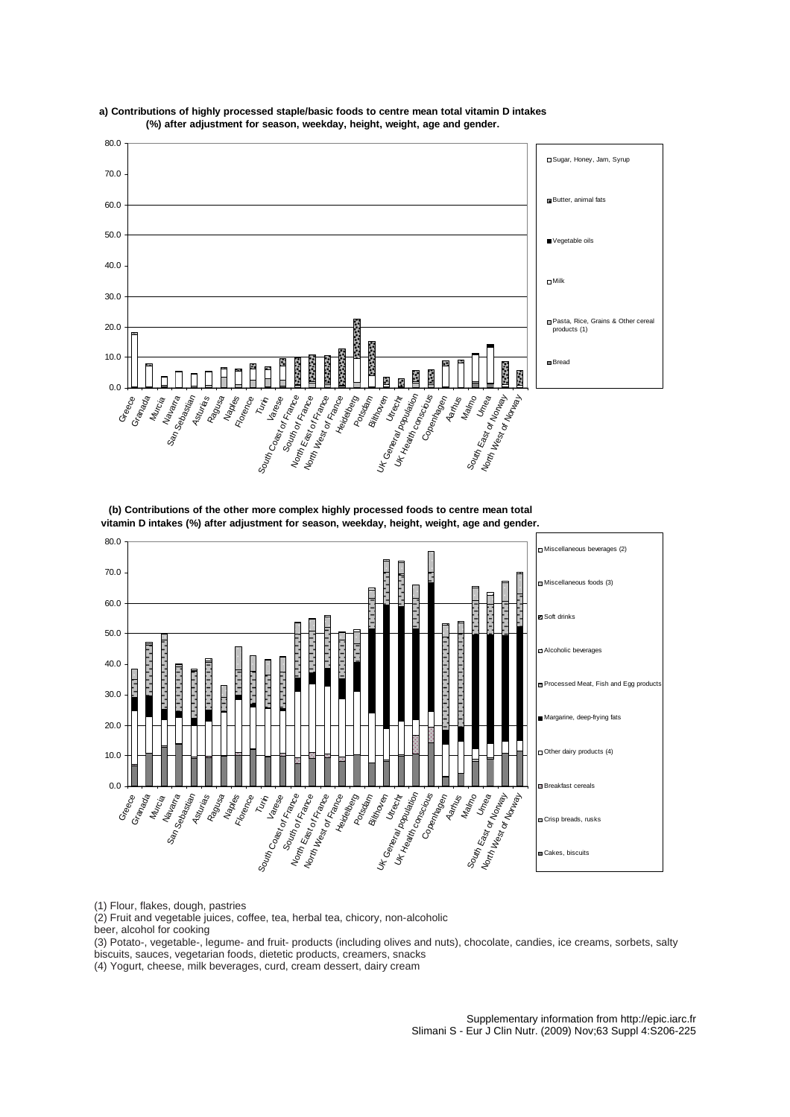



**(b) Contributions of the other more complex highly processed foods to centre mean total vitamin D intakes (%) after adjustment for season, weekday, height, weight, age and gender.**



(1) Flour, flakes, dough, pastries

(2) Fruit and vegetable juices, coffee, tea, herbal tea, chicory, non-alcoholic

beer, alcohol for cooking

(3) Potato-, vegetable-, legume- and fruit- products (including olives and nuts), chocolate, candies, ice creams, sorbets, salty biscuits, sauces, vegetarian foods, dietetic products, creamers, snacks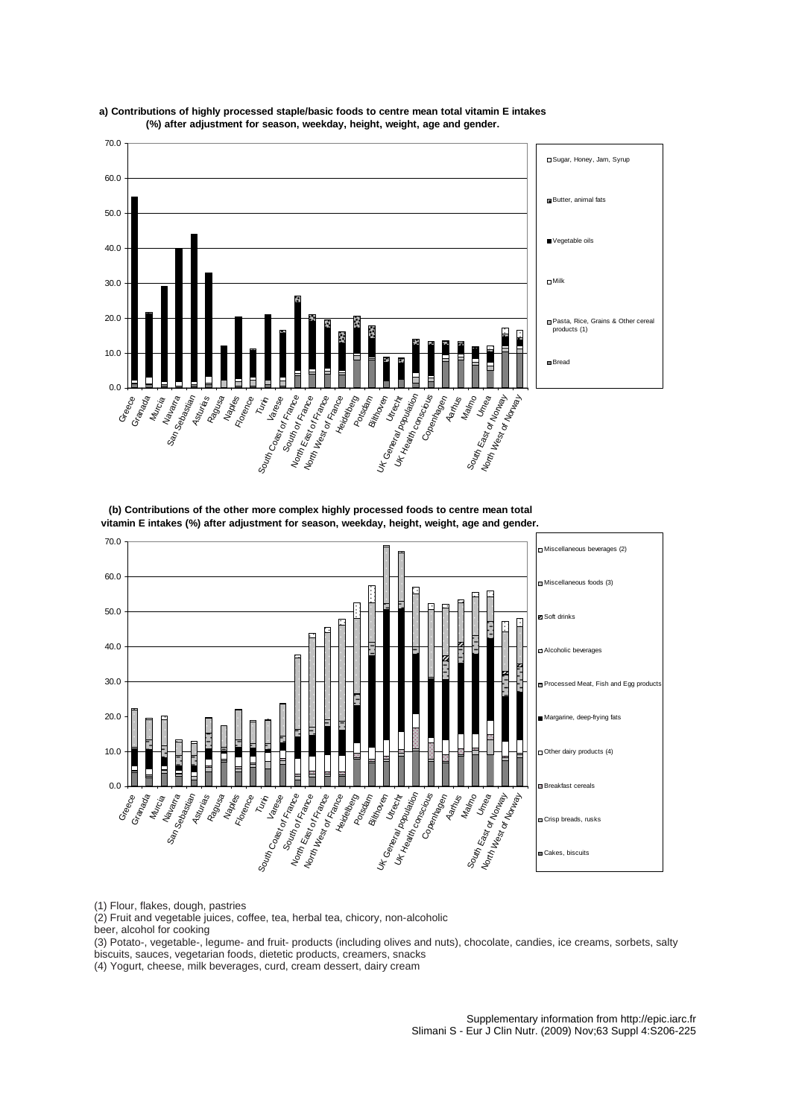

**a ) Contributions of highly processed staple/basic foods to centre mean total vitamin E intakes (%) after adjustment for season, weekday, height, weight, age and gender.**

**(b) Contributions of the other more complex highly processed foods to centre mean total vitamin E intakes (%) after adjustment for season, weekday, height, weight, age and gender.**



(1) Flour, flakes, dough, pastries

(2) Fruit and vegetable juices, coffee, tea, herbal tea, chicory, non-alcoholic

beer, alcohol for cooking

(3) Potato-, vegetable-, legume- and fruit- products (including olives and nuts), chocolate, candies, ice creams, sorbets, salty biscuits, sauces, vegetarian foods, dietetic products, creamers, snacks